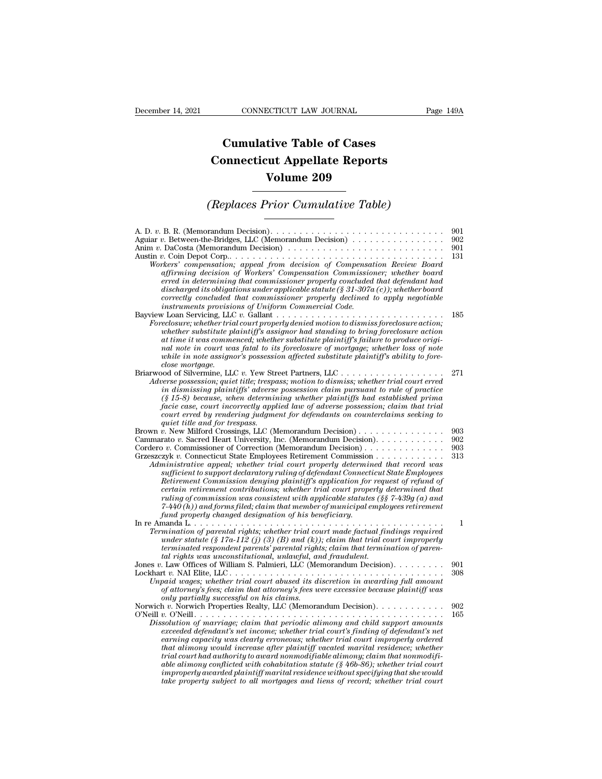## **CONNECTICUT LAW JOURNAL**<br> **Cumulative Table of Cases<br>
pnnecticut Appellate Reports CONNECTICUT LAW JOURNAL** Pag<br> **Cumulative Table of Cases**<br> **Connecticut Appellate Reports<br>
Volume 209 ECTICUT LAW JOURNAL**<br> **Volume 209**<br> **Volume 209**<br> **Volume 209**<br> **Volume 209 Cumulative Table of Cases<br>
Connecticut Appellate Reports<br>
Volume 209<br>
(Replaces Prior Cumulative Table)**<br>
Trandum Decision)

| <b>Volume 209</b>                                                                                                                                                                                                                                                                                                                                                                                                                                                                                                                                                                                                                                                                                                                                                                                                                                   |                          |
|-----------------------------------------------------------------------------------------------------------------------------------------------------------------------------------------------------------------------------------------------------------------------------------------------------------------------------------------------------------------------------------------------------------------------------------------------------------------------------------------------------------------------------------------------------------------------------------------------------------------------------------------------------------------------------------------------------------------------------------------------------------------------------------------------------------------------------------------------------|--------------------------|
| (Replaces Prior Cumulative Table)                                                                                                                                                                                                                                                                                                                                                                                                                                                                                                                                                                                                                                                                                                                                                                                                                   |                          |
| Aguiar v. Between-the-Bridges, LLC (Memorandum Decision)<br>Anim $v$ . DaCosta (Memorandum Decision) $\ldots \ldots \ldots \ldots \ldots \ldots \ldots \ldots \ldots$<br>Workers' compensation; appeal from decision of Compensation Review Board<br>affirming decision of Workers' Compensation Commissioner; whether board<br>erred in determining that commissioner properly concluded that defendant had<br>discharged its obligations under applicable statute (§ 31-307a (c)); whether board<br>correctly concluded that commissioner properly declined to apply negotiable<br>instruments provisions of Uniform Commercial Code.                                                                                                                                                                                                             | 901<br>902<br>901<br>131 |
| Foreclosure; whether trial court properly denied motion to dismiss foreclosure action;<br>whether substitute plaintiff's assignor had standing to bring foreclosure action<br>at time it was commenced; whether substitute plaintiff's failure to produce origi-<br>nal note in court was fatal to its foreclosure of mortgage; whether loss of note<br>while in note assignor's possession affected substitute plaintiff's ability to fore-<br>close mortgage.                                                                                                                                                                                                                                                                                                                                                                                     | 185                      |
| Briarwood of Silvermine, LLC v. Yew Street Partners, LLC $\dots \dots \dots \dots \dots \dots \dots$<br>Adverse possession; quiet title; trespass; motion to dismiss; whether trial court erred<br>in dismissing plaintiffs' adverse possession claim pursuant to rule of practice<br>$(\S 15-8)$ because, when determining whether plaintiffs had established prima<br>facie case, court incorrectly applied law of adverse possession; claim that trial<br>court erred by rendering judgment for defendants on counterclaims seeking to<br>quiet title and for trespass.                                                                                                                                                                                                                                                                          | 271                      |
| Brown v. New Milford Crossings, LLC (Memorandum Decision)<br>Cammarato v. Sacred Heart University, Inc. (Memorandum Decision).<br>Cordero v. Commissioner of Correction (Memorandum Decision)<br>Grzeszczyk v. Connecticut State Employees Retirement Commission<br>Administrative appeal; whether trial court properly determined that record was<br>sufficient to support declaratory ruling of defendant Connecticut State Employees<br>Retirement Commission denying plaintiff's application for request of refund of<br>certain retirement contributions; whether trial court properly determined that<br>ruling of commission was consistent with applicable statutes $(\S \S 7 - 439g(a))$ and<br>$7-440(h)$ ) and forms filed; claim that member of municipal employees retirement<br>fund properly changed designation of his beneficiary. | 903<br>902<br>903<br>313 |
| Termination of parental rights; whether trial court made factual findings required<br>under statute (§ 17a-112 (j) (3) (B) and (k)); claim that trial court improperly<br>terminated respondent parents' parental rights; claim that termination of paren-<br>tal rights was unconstitutional, unlawful, and fraudulent.                                                                                                                                                                                                                                                                                                                                                                                                                                                                                                                            | 1                        |
| Jones v. Law Offices of William S. Palmieri, LLC (Memorandum Decision).<br>Unpaid wages; whether trial court abused its discretion in awarding full amount<br>of attorney's fees; claim that attorney's fees were excessive because plaintiff was<br>only partially successful on his claims.                                                                                                                                                                                                                                                                                                                                                                                                                                                                                                                                                       | 901<br>308               |
| Norwich v. Norwich Properties Realty, LLC (Memorandum Decision).<br>O'Neill $v$ . O'Neill.<br>Dissolution of marriage; claim that periodic alimony and child support amounts<br>exceeded defendant's net income; whether trial court's finding of defendant's net<br>earning capacity was clearly erroneous; whether trial court improperly ordered<br>that alimony would increase after plaintiff vacated marital residence; whether<br>trial court had authority to award nonmodifiable alimony; claim that nonmodifi-<br>able alimony conflicted with cohabitation statute ( $\S$ 46b-86); whether trial court<br>improperly awarded plaintiff marital residence without specifying that she would<br>take property subject to all mortgages and liens of record; whether trial court                                                            | 902<br>165               |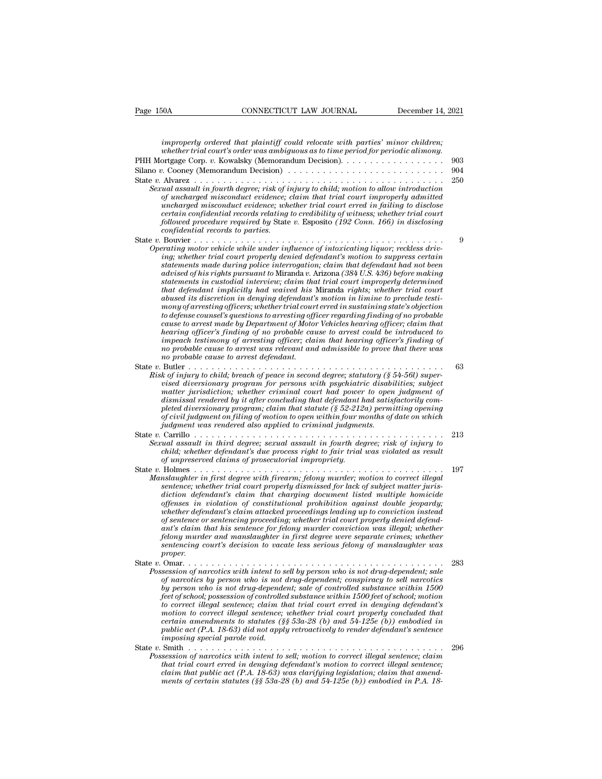| CONNECTICUT LAW JOURNAL<br>December 14, 2021<br>Page 150A                                                                                                                                                                                                                                                                                                                                                                                                                                                                                                                                                                                                                                                                                                                                                                                                                                                                                                                                                                                                                                                                                                                     |         |
|-------------------------------------------------------------------------------------------------------------------------------------------------------------------------------------------------------------------------------------------------------------------------------------------------------------------------------------------------------------------------------------------------------------------------------------------------------------------------------------------------------------------------------------------------------------------------------------------------------------------------------------------------------------------------------------------------------------------------------------------------------------------------------------------------------------------------------------------------------------------------------------------------------------------------------------------------------------------------------------------------------------------------------------------------------------------------------------------------------------------------------------------------------------------------------|---------|
| improperly ordered that plaintiff could relocate with parties' minor children;<br>whether trial court's order was ambiguous as to time period for periodic alimony.                                                                                                                                                                                                                                                                                                                                                                                                                                                                                                                                                                                                                                                                                                                                                                                                                                                                                                                                                                                                           |         |
| PHH Mortgage Corp. v. Kowalsky (Memorandum Decision).                                                                                                                                                                                                                                                                                                                                                                                                                                                                                                                                                                                                                                                                                                                                                                                                                                                                                                                                                                                                                                                                                                                         | 903     |
| Silano v. Cooney (Memorandum Decision) $\ldots \ldots \ldots \ldots \ldots \ldots \ldots \ldots \ldots$                                                                                                                                                                                                                                                                                                                                                                                                                                                                                                                                                                                                                                                                                                                                                                                                                                                                                                                                                                                                                                                                       | 904     |
| Sexual assault in fourth degree; risk of injury to child; motion to allow introduction<br>of uncharged misconduct evidence; claim that trial court improperly admitted<br>uncharged misconduct evidence; whether trial court erred in failing to disclose<br>certain confidential records relating to credibility of witness; whether trial court<br>followed procedure required by State v. Esposito (192 Conn. 166) in disclosing<br>confidential records to parties.                                                                                                                                                                                                                                                                                                                                                                                                                                                                                                                                                                                                                                                                                                       | 250     |
| Operating motor vehicle while under influence of intoxicating liquor; reckless driv-<br>ing; whether trial court properly denied defendant's motion to suppress certain<br>statements made during police interrogation; claim that defendant had not been<br>advised of his rights pursuant to Miranda v. Arizona (384 U.S. 436) before making<br>statements in custodial interview; claim that trial court improperly determined<br>that defendant implicitly had waived his Miranda rights; whether trial court<br>abused its discretion in denying defendant's motion in limine to preclude testi-<br>mony of arresting officers; whether trial court erred in sustaining state's objection<br>to defense counsel's questions to arresting officer regarding finding of no probable<br>cause to arrest made by Department of Motor Vehicles hearing officer; claim that<br>hearing officer's finding of no probable cause to arrest could be introduced to<br>impeach testimony of arresting officer; claim that hearing officer's finding of<br>no probable cause to arrest was relevant and admissible to prove that there was<br>no probable cause to arrest defendant. | 9<br>63 |
| Risk of injury to child; breach of peace in second degree; statutory (§ 54-56l) super-<br>vised diversionary program for persons with psychiatric disabilities; subject<br>matter jurisdiction; whether criminal court had power to open judgment of<br>dismissal rendered by it after concluding that defendant had satisfactorily com-<br>pleted diversionary program; claim that statute $(\xi 52-212a)$ permitting opening<br>of civil judgment on filing of motion to open within four months of date on which<br>judgment was rendered also applied to criminal judgments.                                                                                                                                                                                                                                                                                                                                                                                                                                                                                                                                                                                              |         |
| Sexual assault in third degree; sexual assault in fourth degree; risk of injury to<br>child; whether defendant's due process right to fair trial was violated as result<br>of unpreserved claims of prosecutorial impropriety.                                                                                                                                                                                                                                                                                                                                                                                                                                                                                                                                                                                                                                                                                                                                                                                                                                                                                                                                                | 213     |
| State $v$ . Holmes<br>Manslaughter in first degree with firearm; felony murder; motion to correct illegal<br>sentence; whether trial court properly dismissed for lack of subject matter juris-<br>diction defendant's claim that charging document listed multiple homicide<br>offenses in violation of constitutional prohibition against double jeopardy;<br>whether defendant's claim attacked proceedings leading up to conviction instead<br>of sentence or sentencing proceeding; whether trial court properly denied defend-<br>ant's claim that his sentence for felony murder conviction was illegal; whether<br>felony murder and manslaughter in first degree were separate crimes; whether<br>sentencing court's decision to vacate less serious felony of manslaughter was<br>proper.                                                                                                                                                                                                                                                                                                                                                                           | 197     |
| Possession of narcotics with intent to sell by person who is not drug-dependent; sale<br>of narcotics by person who is not drug-dependent; conspiracy to sell narcotics<br>by person who is not drug-dependent; sale of controlled substance within 1500<br>feet of school; possession of controlled substance within 1500 feet of school; motion<br>to correct illegal sentence; claim that trial court erred in denying defendant's<br>motion to correct illegal sentence; whether trial court properly concluded that<br>certain amendments to statutes (§§ 53a-28 (b) and 54-125e (b)) embodied in<br>public act $(P.A. 18-63)$ did not apply retroactively to render defendant's sentence<br><i>imposing special parole void.</i>                                                                                                                                                                                                                                                                                                                                                                                                                                        | 283     |
| Possession of narcotics with intent to sell; motion to correct illegal sentence; claim<br>that trial court erred in denying defendant's motion to correct illegal sentence;<br>claim that public act $(P.A. 18-63)$ was clarifying legislation; claim that amend-<br>ments of certain statutes (§§ 53a-28 (b) and 54-125e (b)) embodied in P.A. 18-                                                                                                                                                                                                                                                                                                                                                                                                                                                                                                                                                                                                                                                                                                                                                                                                                           | 296     |